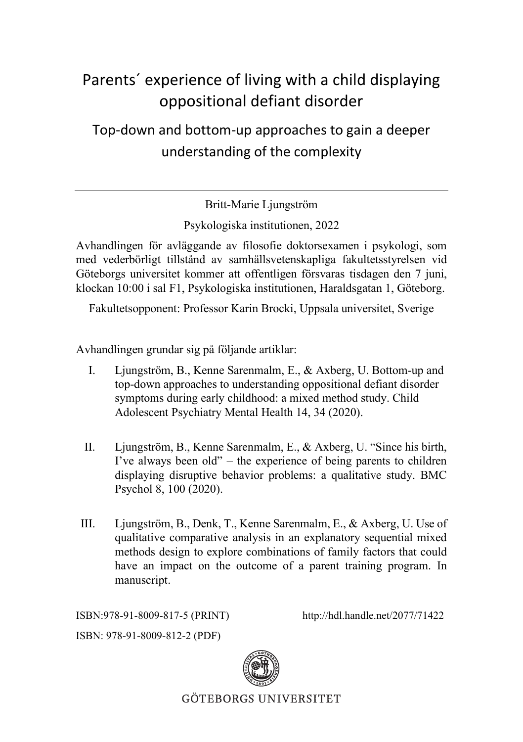## Parents´ experience of living with a child displaying oppositional defiant disorder

Top-down and bottom-up approaches to gain a deeper understanding of the complexity

Britt-Marie Ljungström

Psykologiska institutionen, 2022

Avhandlingen för avläggande av filosofie doktorsexamen i psykologi, som med vederbörligt tillstånd av samhällsvetenskapliga fakultetsstyrelsen vid Göteborgs universitet kommer att offentligen försvaras tisdagen den 7 juni, klockan 10:00 i sal F1, Psykologiska institutionen, Haraldsgatan 1, Göteborg.

Fakultetsopponent: Professor Karin Brocki, Uppsala universitet, Sverige

Avhandlingen grundar sig på följande artiklar:

- I. Ljungström, B., Kenne Sarenmalm, E., & Axberg, U. Bottom-up and top-down approaches to understanding oppositional defiant disorder symptoms during early childhood: a mixed method study. Child Adolescent Psychiatry Mental Health 14, 34 (2020).
- II. Ljungström, B., Kenne Sarenmalm, E., & Axberg, U. "Since his birth, I've always been old" – the experience of being parents to children displaying disruptive behavior problems: a qualitative study. BMC Psychol 8, 100 (2020).
- III. Ljungström, B., Denk, T., Kenne Sarenmalm, E., & Axberg, U. Use of qualitative comparative analysis in an explanatory sequential mixed methods design to explore combinations of family factors that could have an impact on the outcome of a parent training program. In manuscript.

ISBN:978-91-8009-817-5 (PRINT) http://hdl.handle.net/2077/71422

ISBN: 978-91-8009-812-2 (PDF)



**GÖTEBORGS UNIVERSITET**